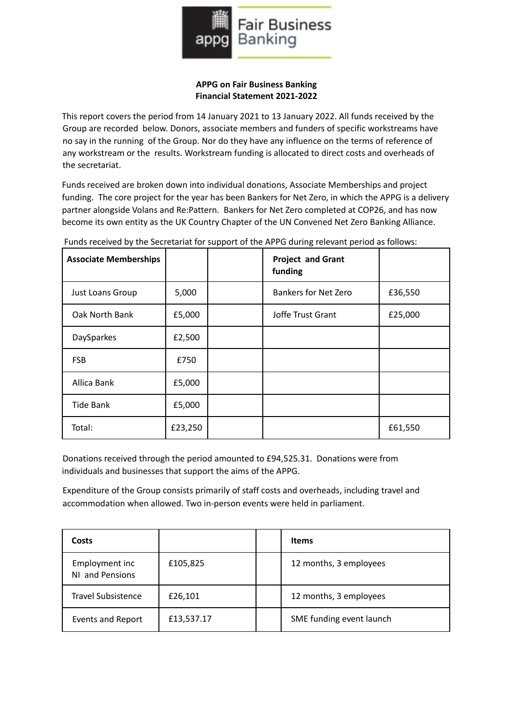

## **APPG on Fair Business Banking Financial Statement 2021-2022**

This report covers the period from 14 January 2021 to 13 January 2022. All funds received by the Group are recorded below. Donors, associate members and funders of specific workstreams have no say in the running of the Group. Nor do they have any influence on the terms of reference of any workstream or the results. Workstream funding is allocated to direct costs and overheads of the secretariat.

Funds received are broken down into individual donations, Associate Memberships and project funding. The core project for the year has been Bankers for Net Zero, in which the APPG is a delivery partner alongside Volans and Re:Pattern. Bankers for Net Zero completed at COP26, and has now become its own entity as the UK Country Chapter of the UN Convened Net Zero Banking Alliance.

| <b>Associate Memberships</b> |         | <b>Project and Grant</b><br>funding |         |
|------------------------------|---------|-------------------------------------|---------|
| Just Loans Group             | 5,000   | <b>Bankers for Net Zero</b>         | £36,550 |
| Oak North Bank               | £5,000  | Joffe Trust Grant                   | £25,000 |
| DaySparkes                   | £2,500  |                                     |         |
| <b>FSB</b>                   | £750    |                                     |         |
| Allica Bank                  | £5,000  |                                     |         |
| <b>Tide Bank</b>             | £5,000  |                                     |         |
| Total:                       | £23,250 |                                     | £61,550 |

Funds received by the Secretariat for support of the APPG during relevant period as follows:

Donations received through the period amounted to £94,525.31. Donations were from individuals and businesses that support the aims of the APPG.

Expenditure of the Group consists primarily of staff costs and overheads, including travel and accommodation when allowed. Two in-person events were held in parliament.

| Costs                             |            | <b>Items</b>             |
|-----------------------------------|------------|--------------------------|
| Employment inc<br>NI and Pensions | £105,825   | 12 months, 3 employees   |
| <b>Travel Subsistence</b>         | £26,101    | 12 months, 3 employees   |
| <b>Events and Report</b>          | £13,537.17 | SME funding event launch |